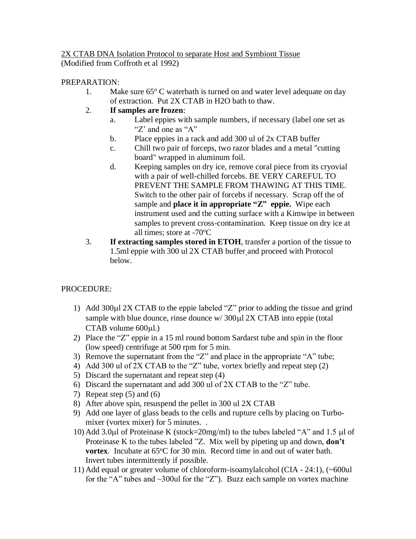## 2X CTAB DNA Isolation Protocol to separate Host and Symbiont Tissue (Modified from Coffroth et al 1992)

## PREPARATION:

- 1. Make sure  $65^{\circ}$  C waterbath is turned on and water level adequate on day of extraction. Put 2X CTAB in H2O bath to thaw.
- 2. **If samples are frozen**:
	- a. Label eppies with sample numbers, if necessary (label one set as "Z' and one as "A"
	- b. Place eppies in a rack and add 300 ul of 2x CTAB buffer
	- c. Chill two pair of forceps, two razor blades and a metal "cutting board" wrapped in aluminum foil.
	- d. Keeping samples on dry ice, remove coral piece from its cryovial with a pair of well-chilled forcebs. BE VERY CAREFUL TO PREVENT THE SAMPLE FROM THAWING AT THIS TIME. Switch to the other pair of forcebs if necessary. Scrap off the of sample and **place it in appropriate "Z" eppie.** Wipe each instrument used and the cutting surface with a Kimwipe in between samples to prevent cross-contamination. Keep tissue on dry ice at all times; store at  $-70^{\circ}$ C
- 3. **If extracting samples stored in ETOH**, transfer a portion of the tissue to 1.5ml eppie with 300 ul 2X CTAB buffer and proceed with Protocol below.

## PROCEDURE:

- 1) Add 300 $\mu$ l 2X CTAB to the eppie labeled "Z" prior to adding the tissue and grind sample with blue dounce, rinse dounce  $w/300\mu$ l 2X CTAB into eppie (total  $CTAB$  volume  $600\mu$ l.)
- 2) Place the "Z" eppie in a 15 ml round bottom Sardarst tube and spin in the floor (low speed) centrifuge at 500 rpm for 5 min.
- 3) Remove the supernatant from the "Z" and place in the appropriate "A" tube;
- 4) Add 300 ul of 2X CTAB to the "Z" tube, vortex briefly and repeat step (2)
- 5) Discard the supernatant and repeat step (4)
- 6) Discard the supernatant and add 300 ul of 2X CTAB to the "Z" tube.
- 7) Repeat step (5) and (6)
- 8) After above spin, resuspend the pellet in 300 ul 2X CTAB
- 9) Add one layer of glass beads to the cells and rupture cells by placing on Turbomixer (vortex mixer) for 5 minutes. .
- 10) Add 3.0 $\mu$ l of Proteinase K (stock=20mg/ml) to the tubes labeled "A" and 1.5  $\mu$ l of Proteinase K to the tubes labeled "Z. Mix well by pipeting up and down, **don't vortex**. Incubate at 65<sup>o</sup>C for 30 min. Record time in and out of water bath. Invert tubes intermittently if possible.
- 11) Add equal or greater volume of chloroform-isoamylalcohol (CIA 24:1), (~600ul for the "A" tubes and  $\sim$ 300ul for the "Z"). Buzz each sample on vortex machine